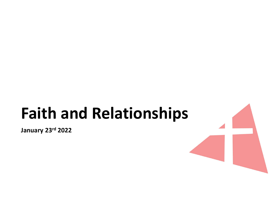# Faith and Relationships

January 23rd 2022

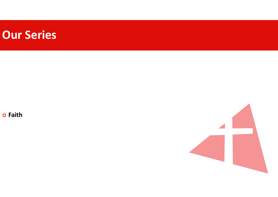

o Faith

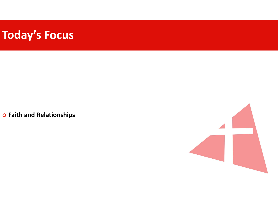# Today's Focus

o Faith and Relationships

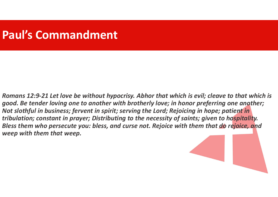#### Paul's Commandment

Romans 12:9-21 Let love be without hypocrisy. Abhor that which is evil; cleave to that which is good. Be tender loving one to another with brotherly love; in honor preferring one another; Not slothful in business; fervent in spirit; serving the Lord; Rejoicing in hope; patient in tribulation; constant in prayer; Distributing to the necessity of saints; given to hospitality. Bless them who persecute you: bless, and curse not. Rejoice with them that do rejoice, and weep with them that weep.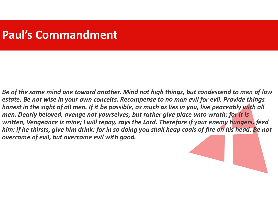#### Paul's Commandment

Be of the same mind one toward another. Mind not high things, but condescend to men of low estate. Be not wise in your own conceits. Recompense to no man evil for evil. Provide things honest in the sight of all men. If it be possible, as much as lies in you, live peaceably with all men. Dearly beloved, avenge not yourselves, but rather give place unto wrath: for it is written, Vengeance is mine; I will repay, says the Lord. Therefore if your enemy hungers, feed him; if he thirsts, give him drink: for in so doing you shall heap coals of fire on his head. Be not overcome of evil, but overcome evil with good.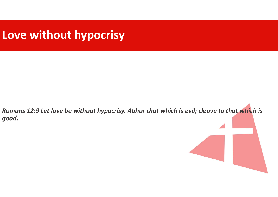### Love without hypocrisy

Romans 12:9 Let love be without hypocrisy. Abhor that which is evil; cleave to that which is good.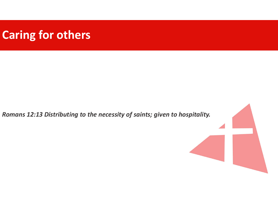# Caring for others

Romans 12:13 Distributing to the necessity of saints; given to hospitality.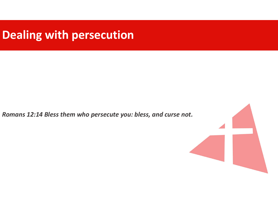# Dealing with persecution

Romans 12:14 Bless them who persecute you: bless, and curse not.

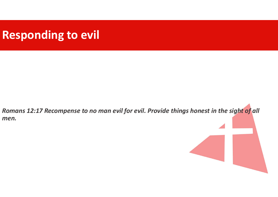# Responding to evil

Romans 12:17 Recompense to no man evil for evil. Provide things honest in the sight of all men.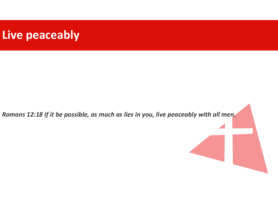#### Live peaceably

Romans 12:18 If it be possible, as much as lies in you, live peaceably with all men.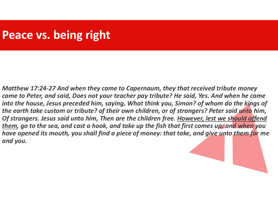#### Peace vs. being right

Matthew 17:24-27 And when they came to Capernaum, they that received tribute money came to Peter, and said, Does not your teacher pay tribute? He said, Yes. And when he came into the house, Jesus preceded him, saying, What think you, Simon? of whom do the kings of the earth take custom or tribute? of their own children, or of strangers? Peter said unto him, Of strangers. Jesus said unto him, Then are the children free. However, lest we should offend them, go to the sea, and cast a hook, and take up the fish that first comes up; and when you have opened its mouth, you shall find a piece of money: that take, and give unto them for me and you.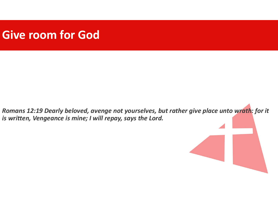#### Give room for God

Romans 12:19 Dearly beloved, avenge not yourselves, but rather give place unto wrath: for it is written, Vengeance is mine; I will repay, says the Lord.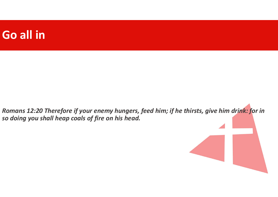#### Go all in

Romans 12:20 Therefore if your enemy hungers, feed him; if he thirsts, give him drink: for in so doing you shall heap coals of fire on his head.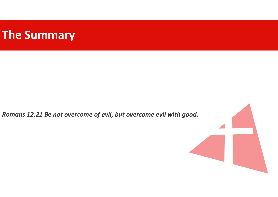# The Summary

Romans 12:21 Be not overcome of evil, but overcome evil with good.

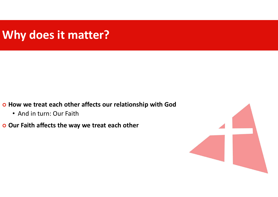# Why does it matter?

- o How we treat each other affects our relationship with God
	- And in turn: Our Faith
- o Our Faith affects the way we treat each other

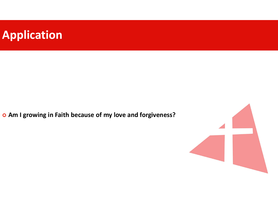# Application

Am I growing in Faith because of my love and forgiveness?